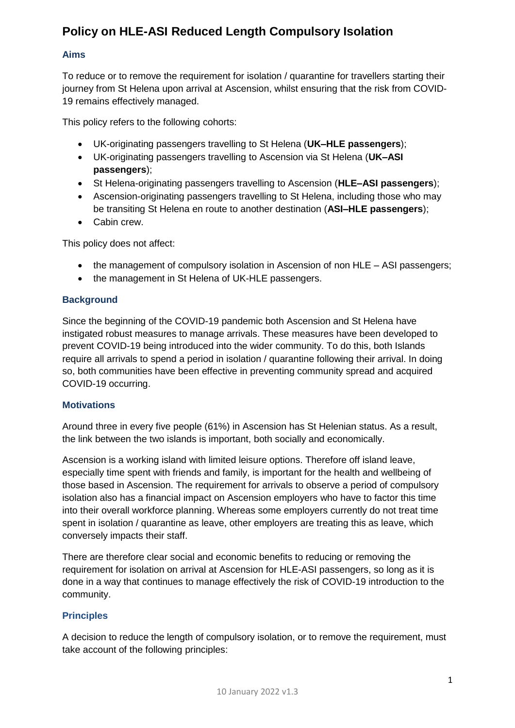# **Policy on HLE-ASI Reduced Length Compulsory Isolation**

#### **Aims**

To reduce or to remove the requirement for isolation / quarantine for travellers starting their journey from St Helena upon arrival at Ascension, whilst ensuring that the risk from COVID-19 remains effectively managed.

This policy refers to the following cohorts:

- UK-originating passengers travelling to St Helena (**UK–HLE passengers**);
- UK-originating passengers travelling to Ascension via St Helena (**UK–ASI passengers**);
- St Helena-originating passengers travelling to Ascension (**HLE–ASI passengers**);
- Ascension-originating passengers travelling to St Helena, including those who may be transiting St Helena en route to another destination (**ASI–HLE passengers**);
- Cabin crew.

This policy does not affect:

- the management of compulsory isolation in Ascension of non HLE ASI passengers;
- the management in St Helena of UK-HLE passengers.

#### **Background**

Since the beginning of the COVID-19 pandemic both Ascension and St Helena have instigated robust measures to manage arrivals. These measures have been developed to prevent COVID-19 being introduced into the wider community. To do this, both Islands require all arrivals to spend a period in isolation / quarantine following their arrival. In doing so, both communities have been effective in preventing community spread and acquired COVID-19 occurring.

#### **Motivations**

Around three in every five people (61%) in Ascension has St Helenian status. As a result, the link between the two islands is important, both socially and economically.

Ascension is a working island with limited leisure options. Therefore off island leave, especially time spent with friends and family, is important for the health and wellbeing of those based in Ascension. The requirement for arrivals to observe a period of compulsory isolation also has a financial impact on Ascension employers who have to factor this time into their overall workforce planning. Whereas some employers currently do not treat time spent in isolation / quarantine as leave, other employers are treating this as leave, which conversely impacts their staff.

There are therefore clear social and economic benefits to reducing or removing the requirement for isolation on arrival at Ascension for HLE-ASI passengers, so long as it is done in a way that continues to manage effectively the risk of COVID-19 introduction to the community.

## **Principles**

A decision to reduce the length of compulsory isolation, or to remove the requirement, must take account of the following principles: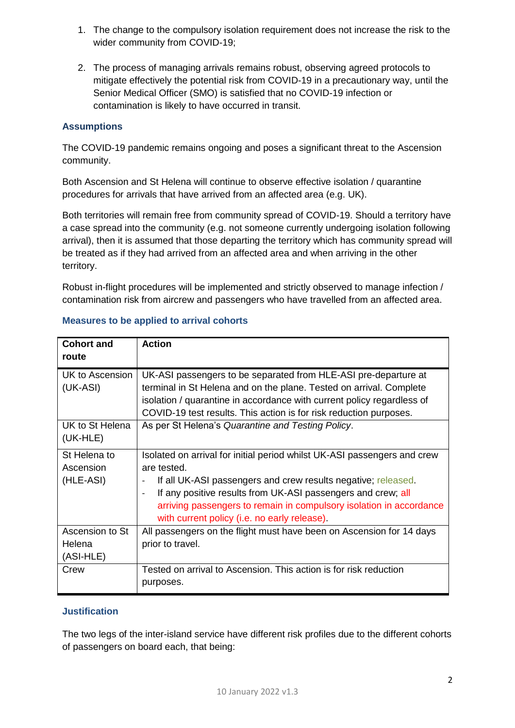- 1. The change to the compulsory isolation requirement does not increase the risk to the wider community from COVID-19;
- 2. The process of managing arrivals remains robust, observing agreed protocols to mitigate effectively the potential risk from COVID-19 in a precautionary way, until the Senior Medical Officer (SMO) is satisfied that no COVID-19 infection or contamination is likely to have occurred in transit.

## **Assumptions**

The COVID-19 pandemic remains ongoing and poses a significant threat to the Ascension community.

Both Ascension and St Helena will continue to observe effective isolation / quarantine procedures for arrivals that have arrived from an affected area (e.g. UK).

Both territories will remain free from community spread of COVID-19. Should a territory have a case spread into the community (e.g. not someone currently undergoing isolation following arrival), then it is assumed that those departing the territory which has community spread will be treated as if they had arrived from an affected area and when arriving in the other territory.

Robust in-flight procedures will be implemented and strictly observed to manage infection / contamination risk from aircrew and passengers who have travelled from an affected area.

| <b>Cohort and</b>           | <b>Action</b>                                                                                                                                |
|-----------------------------|----------------------------------------------------------------------------------------------------------------------------------------------|
| route                       |                                                                                                                                              |
| UK to Ascension<br>(UK-ASI) | UK-ASI passengers to be separated from HLE-ASI pre-departure at<br>terminal in St Helena and on the plane. Tested on arrival. Complete       |
|                             | isolation / quarantine in accordance with current policy regardless of<br>COVID-19 test results. This action is for risk reduction purposes. |
| UK to St Helena<br>(UK-HLE) | As per St Helena's Quarantine and Testing Policy.                                                                                            |
| St Helena to                | Isolated on arrival for initial period whilst UK-ASI passengers and crew                                                                     |
| Ascension                   | are tested.                                                                                                                                  |
| (HLE-ASI)                   | If all UK-ASI passengers and crew results negative; released.                                                                                |
|                             | If any positive results from UK-ASI passengers and crew; all<br>$\blacksquare$                                                               |
|                             | arriving passengers to remain in compulsory isolation in accordance                                                                          |
|                             | with current policy (i.e. no early release).                                                                                                 |
| Ascension to St             | All passengers on the flight must have been on Ascension for 14 days                                                                         |
| Helena                      | prior to travel.                                                                                                                             |
| (ASI-HLE)                   |                                                                                                                                              |
| Crew                        | Tested on arrival to Ascension. This action is for risk reduction                                                                            |
|                             | purposes.                                                                                                                                    |

## **Measures to be applied to arrival cohorts**

#### **Justification**

The two legs of the inter-island service have different risk profiles due to the different cohorts of passengers on board each, that being: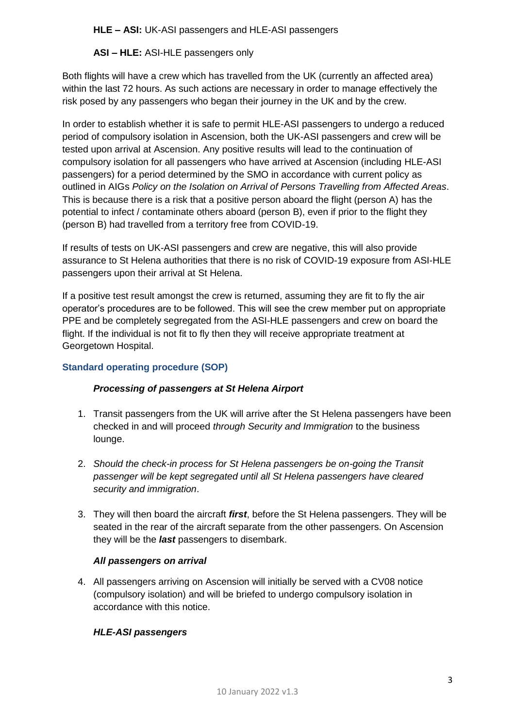**HLE – ASI:** UK-ASI passengers and HLE-ASI passengers

**ASI – HLE:** ASI-HLE passengers only

Both flights will have a crew which has travelled from the UK (currently an affected area) within the last 72 hours. As such actions are necessary in order to manage effectively the risk posed by any passengers who began their journey in the UK and by the crew.

In order to establish whether it is safe to permit HLE-ASI passengers to undergo a reduced period of compulsory isolation in Ascension, both the UK-ASI passengers and crew will be tested upon arrival at Ascension. Any positive results will lead to the continuation of compulsory isolation for all passengers who have arrived at Ascension (including HLE-ASI passengers) for a period determined by the SMO in accordance with current policy as outlined in AIGs *Policy on the Isolation on Arrival of Persons Travelling from Affected Areas*. This is because there is a risk that a positive person aboard the flight (person A) has the potential to infect / contaminate others aboard (person B), even if prior to the flight they (person B) had travelled from a territory free from COVID-19.

If results of tests on UK-ASI passengers and crew are negative, this will also provide assurance to St Helena authorities that there is no risk of COVID-19 exposure from ASI-HLE passengers upon their arrival at St Helena.

If a positive test result amongst the crew is returned, assuming they are fit to fly the air operator's procedures are to be followed. This will see the crew member put on appropriate PPE and be completely segregated from the ASI-HLE passengers and crew on board the flight. If the individual is not fit to fly then they will receive appropriate treatment at Georgetown Hospital.

## **Standard operating procedure (SOP)**

## *Processing of passengers at St Helena Airport*

- 1. Transit passengers from the UK will arrive after the St Helena passengers have been checked in and will proceed *through Security and Immigration* to the business lounge.
- 2. *Should the check-in process for St Helena passengers be on-going the Transit passenger will be kept segregated until all St Helena passengers have cleared security and immigration*.
- 3. They will then board the aircraft *first*, before the St Helena passengers. They will be seated in the rear of the aircraft separate from the other passengers. On Ascension they will be the *last* passengers to disembark.

#### *All passengers on arrival*

4. All passengers arriving on Ascension will initially be served with a CV08 notice (compulsory isolation) and will be briefed to undergo compulsory isolation in accordance with this notice.

## *HLE-ASI passengers*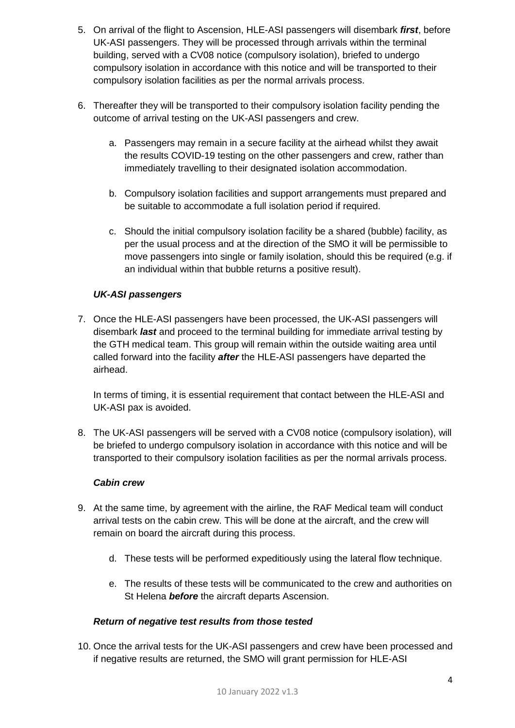- 5. On arrival of the flight to Ascension, HLE-ASI passengers will disembark *first*, before UK-ASI passengers. They will be processed through arrivals within the terminal building, served with a CV08 notice (compulsory isolation), briefed to undergo compulsory isolation in accordance with this notice and will be transported to their compulsory isolation facilities as per the normal arrivals process.
- 6. Thereafter they will be transported to their compulsory isolation facility pending the outcome of arrival testing on the UK-ASI passengers and crew.
	- a. Passengers may remain in a secure facility at the airhead whilst they await the results COVID-19 testing on the other passengers and crew, rather than immediately travelling to their designated isolation accommodation.
	- b. Compulsory isolation facilities and support arrangements must prepared and be suitable to accommodate a full isolation period if required.
	- c. Should the initial compulsory isolation facility be a shared (bubble) facility, as per the usual process and at the direction of the SMO it will be permissible to move passengers into single or family isolation, should this be required (e.g. if an individual within that bubble returns a positive result).

## *UK-ASI passengers*

7. Once the HLE-ASI passengers have been processed, the UK-ASI passengers will disembark *last* and proceed to the terminal building for immediate arrival testing by the GTH medical team. This group will remain within the outside waiting area until called forward into the facility *after* the HLE-ASI passengers have departed the airhead.

In terms of timing, it is essential requirement that contact between the HLE-ASI and UK-ASI pax is avoided.

8. The UK-ASI passengers will be served with a CV08 notice (compulsory isolation), will be briefed to undergo compulsory isolation in accordance with this notice and will be transported to their compulsory isolation facilities as per the normal arrivals process.

## *Cabin crew*

- 9. At the same time, by agreement with the airline, the RAF Medical team will conduct arrival tests on the cabin crew. This will be done at the aircraft, and the crew will remain on board the aircraft during this process.
	- d. These tests will be performed expeditiously using the lateral flow technique.
	- e. The results of these tests will be communicated to the crew and authorities on St Helena *before* the aircraft departs Ascension.

#### *Return of negative test results from those tested*

10. Once the arrival tests for the UK-ASI passengers and crew have been processed and if negative results are returned, the SMO will grant permission for HLE-ASI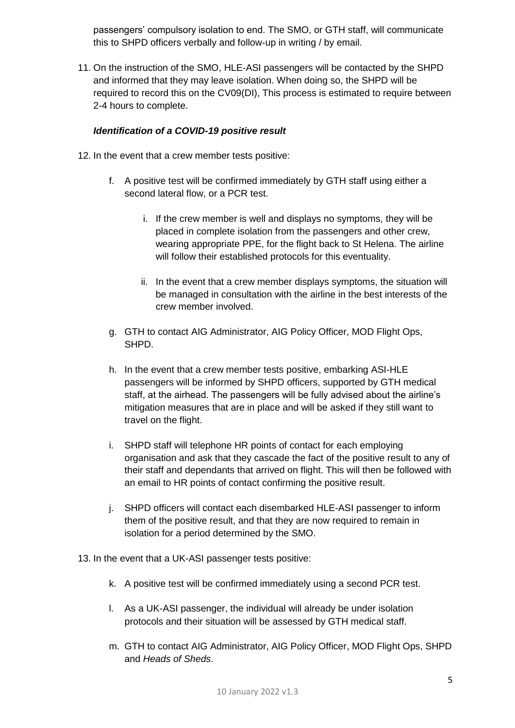passengers' compulsory isolation to end. The SMO, or GTH staff, will communicate this to SHPD officers verbally and follow-up in writing / by email.

11. On the instruction of the SMO, HLE-ASI passengers will be contacted by the SHPD and informed that they may leave isolation. When doing so, the SHPD will be required to record this on the CV09(DI), This process is estimated to require between 2-4 hours to complete.

## *Identification of a COVID-19 positive result*

- 12. In the event that a crew member tests positive:
	- f. A positive test will be confirmed immediately by GTH staff using either a second lateral flow, or a PCR test.
		- i. If the crew member is well and displays no symptoms, they will be placed in complete isolation from the passengers and other crew, wearing appropriate PPE, for the flight back to St Helena. The airline will follow their established protocols for this eventuality.
		- ii. In the event that a crew member displays symptoms, the situation will be managed in consultation with the airline in the best interests of the crew member involved.
	- g. GTH to contact AIG Administrator, AIG Policy Officer, MOD Flight Ops, SHPD.
	- h. In the event that a crew member tests positive, embarking ASI-HLE passengers will be informed by SHPD officers, supported by GTH medical staff, at the airhead. The passengers will be fully advised about the airline's mitigation measures that are in place and will be asked if they still want to travel on the flight.
	- i. SHPD staff will telephone HR points of contact for each employing organisation and ask that they cascade the fact of the positive result to any of their staff and dependants that arrived on flight. This will then be followed with an email to HR points of contact confirming the positive result.
	- j. SHPD officers will contact each disembarked HLE-ASI passenger to inform them of the positive result, and that they are now required to remain in isolation for a period determined by the SMO.
- 13. In the event that a UK-ASI passenger tests positive:
	- k. A positive test will be confirmed immediately using a second PCR test.
	- l. As a UK-ASI passenger, the individual will already be under isolation protocols and their situation will be assessed by GTH medical staff.
	- m. GTH to contact AIG Administrator, AIG Policy Officer, MOD Flight Ops, SHPD and *Heads of Sheds*.